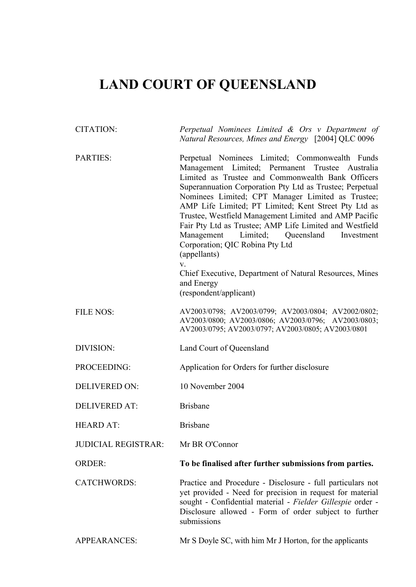## **LAND COURT OF QUEENSLAND**

| <b>CITATION:</b>           | Perpetual Nominees Limited & Ors v Department of<br>Natural Resources, Mines and Energy [2004] QLC 0096                                                                                                                                                                                                                                                                                                                                                                                                                                                |
|----------------------------|--------------------------------------------------------------------------------------------------------------------------------------------------------------------------------------------------------------------------------------------------------------------------------------------------------------------------------------------------------------------------------------------------------------------------------------------------------------------------------------------------------------------------------------------------------|
| <b>PARTIES:</b>            | Perpetual Nominees Limited; Commonwealth Funds<br>Management Limited; Permanent Trustee Australia<br>Limited as Trustee and Commonwealth Bank Officers<br>Superannuation Corporation Pty Ltd as Trustee; Perpetual<br>Nominees Limited; CPT Manager Limited as Trustee;<br>AMP Life Limited; PT Limited; Kent Street Pty Ltd as<br>Trustee, Westfield Management Limited and AMP Pacific<br>Fair Pty Ltd as Trustee; AMP Life Limited and Westfield<br>Limited; Queensland Investment<br>Management<br>Corporation; QIC Robina Pty Ltd<br>(appellants) |
|                            | V.<br>Chief Executive, Department of Natural Resources, Mines<br>and Energy<br>(respondent/applicant)                                                                                                                                                                                                                                                                                                                                                                                                                                                  |
| <b>FILE NOS:</b>           | AV2003/0798; AV2003/0799; AV2003/0804; AV2002/0802;<br>AV2003/0800; AV2003/0806; AV2003/0796; AV2003/0803;<br>AV2003/0795; AV2003/0797; AV2003/0805; AV2003/0801                                                                                                                                                                                                                                                                                                                                                                                       |
| DIVISION:                  | Land Court of Queensland                                                                                                                                                                                                                                                                                                                                                                                                                                                                                                                               |
| PROCEEDING:                | Application for Orders for further disclosure                                                                                                                                                                                                                                                                                                                                                                                                                                                                                                          |
| <b>DELIVERED ON:</b>       | 10 November 2004                                                                                                                                                                                                                                                                                                                                                                                                                                                                                                                                       |
| <b>DELIVERED AT:</b>       | <b>Brisbane</b>                                                                                                                                                                                                                                                                                                                                                                                                                                                                                                                                        |
| <b>HEARD AT:</b>           | <b>Brisbane</b>                                                                                                                                                                                                                                                                                                                                                                                                                                                                                                                                        |
| <b>JUDICIAL REGISTRAR:</b> | Mr BR O'Connor                                                                                                                                                                                                                                                                                                                                                                                                                                                                                                                                         |
| <b>ORDER:</b>              | To be finalised after further submissions from parties.                                                                                                                                                                                                                                                                                                                                                                                                                                                                                                |
| <b>CATCHWORDS:</b>         | Practice and Procedure - Disclosure - full particulars not<br>yet provided - Need for precision in request for material<br>sought - Confidential material - Fielder Gillespie order -<br>Disclosure allowed - Form of order subject to further<br>submissions                                                                                                                                                                                                                                                                                          |
| <b>APPEARANCES:</b>        | Mr S Doyle SC, with him Mr J Horton, for the applicants                                                                                                                                                                                                                                                                                                                                                                                                                                                                                                |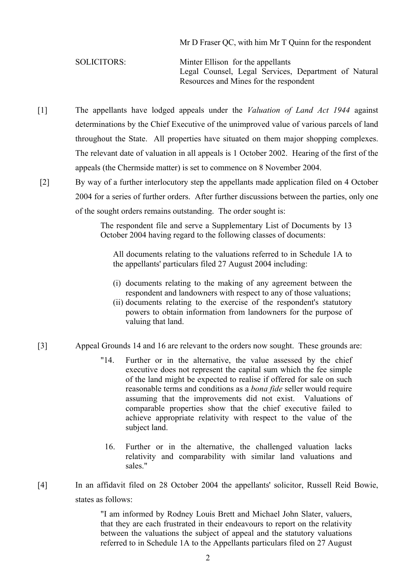|             | Mr D Fraser QC, with him Mr T Quinn for the respondent                                                                              |
|-------------|-------------------------------------------------------------------------------------------------------------------------------------|
| SOLICITORS: | Minter Ellison for the appellants<br>Legal Counsel, Legal Services, Department of Natural<br>Resources and Mines for the respondent |

[1] The appellants have lodged appeals under the *Valuation of Land Act 1944* against determinations by the Chief Executive of the unimproved value of various parcels of land throughout the State. All properties have situated on them major shopping complexes. The relevant date of valuation in all appeals is 1 October 2002. Hearing of the first of the appeals (the Chermside matter) is set to commence on 8 November 2004.

 [2] By way of a further interlocutory step the appellants made application filed on 4 October 2004 for a series of further orders. After further discussions between the parties, only one of the sought orders remains outstanding. The order sought is:

> The respondent file and serve a Supplementary List of Documents by 13 October 2004 having regard to the following classes of documents:

All documents relating to the valuations referred to in Schedule 1A to the appellants' particulars filed 27 August 2004 including:

- (i) documents relating to the making of any agreement between the respondent and landowners with respect to any of those valuations;
- (ii) documents relating to the exercise of the respondent's statutory powers to obtain information from landowners for the purpose of valuing that land.
- [3] Appeal Grounds 14 and 16 are relevant to the orders now sought. These grounds are:
	- "14. Further or in the alternative, the value assessed by the chief executive does not represent the capital sum which the fee simple of the land might be expected to realise if offered for sale on such reasonable terms and conditions as a *bona fide* seller would require assuming that the improvements did not exist. Valuations of comparable properties show that the chief executive failed to achieve appropriate relativity with respect to the value of the subject land.
		- 16. Further or in the alternative, the challenged valuation lacks relativity and comparability with similar land valuations and sales."
- [4] In an affidavit filed on 28 October 2004 the appellants' solicitor, Russell Reid Bowie, states as follows:

 $\mathfrak{D}$ 

"I am informed by Rodney Louis Brett and Michael John Slater, valuers, that they are each frustrated in their endeavours to report on the relativity between the valuations the subject of appeal and the statutory valuations referred to in Schedule 1A to the Appellants particulars filed on 27 August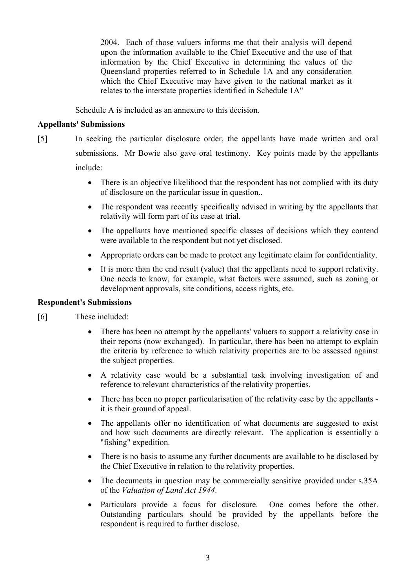2004. Each of those valuers informs me that their analysis will depend upon the information available to the Chief Executive and the use of that information by the Chief Executive in determining the values of the Queensland properties referred to in Schedule 1A and any consideration which the Chief Executive may have given to the national market as it relates to the interstate properties identified in Schedule 1A"

Schedule A is included as an annexure to this decision.

## **Appellants' Submissions**

- [5] In seeking the particular disclosure order, the appellants have made written and oral submissions. Mr Bowie also gave oral testimony. Key points made by the appellants include:
	- There is an objective likelihood that the respondent has not complied with its duty of disclosure on the particular issue in question..
	- The respondent was recently specifically advised in writing by the appellants that relativity will form part of its case at trial.
	- The appellants have mentioned specific classes of decisions which they contend were available to the respondent but not yet disclosed.
	- Appropriate orders can be made to protect any legitimate claim for confidentiality.
	- It is more than the end result (value) that the appellants need to support relativity. One needs to know, for example, what factors were assumed, such as zoning or development approvals, site conditions, access rights, etc.

## **Respondent's Submissions**

- [6] These included:
	- There has been no attempt by the appellants' valuers to support a relativity case in their reports (now exchanged). In particular, there has been no attempt to explain the criteria by reference to which relativity properties are to be assessed against the subject properties.
	- A relativity case would be a substantial task involving investigation of and reference to relevant characteristics of the relativity properties.
	- There has been no proper particularisation of the relativity case by the appellants it is their ground of appeal.
	- The appellants offer no identification of what documents are suggested to exist and how such documents are directly relevant. The application is essentially a "fishing" expedition.
	- There is no basis to assume any further documents are available to be disclosed by the Chief Executive in relation to the relativity properties.
	- The documents in question may be commercially sensitive provided under s.35A of the *Valuation of Land Act 1944*.
	- Particulars provide a focus for disclosure. One comes before the other. Outstanding particulars should be provided by the appellants before the respondent is required to further disclose.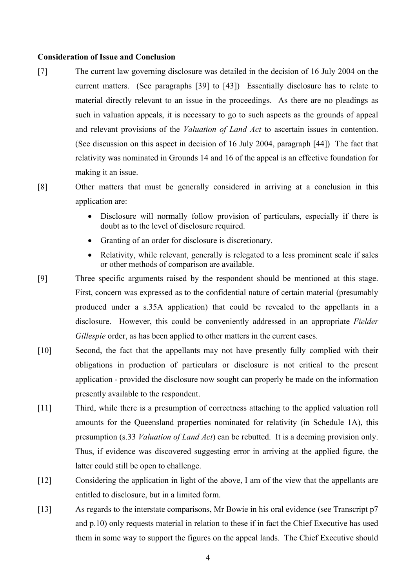## **Consideration of Issue and Conclusion**

- [7] The current law governing disclosure was detailed in the decision of 16 July 2004 on the current matters. (See paragraphs [39] to [43]) Essentially disclosure has to relate to material directly relevant to an issue in the proceedings. As there are no pleadings as such in valuation appeals, it is necessary to go to such aspects as the grounds of appeal and relevant provisions of the *Valuation of Land Act* to ascertain issues in contention. (See discussion on this aspect in decision of 16 July 2004, paragraph [44]) The fact that relativity was nominated in Grounds 14 and 16 of the appeal is an effective foundation for making it an issue.
- [8] Other matters that must be generally considered in arriving at a conclusion in this application are:
	- Disclosure will normally follow provision of particulars, especially if there is doubt as to the level of disclosure required.
	- Granting of an order for disclosure is discretionary.
	- Relativity, while relevant, generally is relegated to a less prominent scale if sales or other methods of comparison are available.
- [9] Three specific arguments raised by the respondent should be mentioned at this stage. First, concern was expressed as to the confidential nature of certain material (presumably produced under a s.35A application) that could be revealed to the appellants in a disclosure. However, this could be conveniently addressed in an appropriate *Fielder Gillespie* order, as has been applied to other matters in the current cases.
- [10] Second, the fact that the appellants may not have presently fully complied with their obligations in production of particulars or disclosure is not critical to the present application - provided the disclosure now sought can properly be made on the information presently available to the respondent.
- [11] Third, while there is a presumption of correctness attaching to the applied valuation roll amounts for the Queensland properties nominated for relativity (in Schedule 1A), this presumption (s.33 *Valuation of Land Act*) can be rebutted. It is a deeming provision only. Thus, if evidence was discovered suggesting error in arriving at the applied figure, the latter could still be open to challenge.
- [12] Considering the application in light of the above, I am of the view that the appellants are entitled to disclosure, but in a limited form.
- [13] As regards to the interstate comparisons, Mr Bowie in his oral evidence (see Transcript p7 and p.10) only requests material in relation to these if in fact the Chief Executive has used them in some way to support the figures on the appeal lands. The Chief Executive should